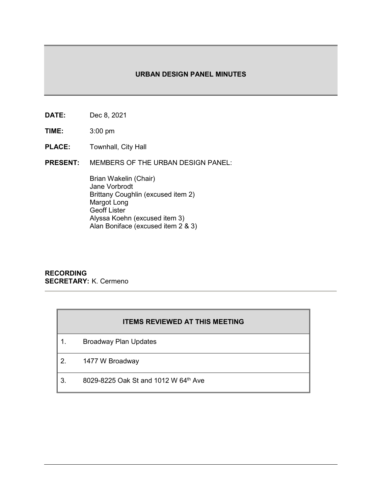## **URBAN DESIGN PANEL MINUTES**

- **DATE:** Dec 8, 2021
- **TIME:** 3:00 pm
- **PLACE:** Townhall, City Hall
- **PRESENT:** MEMBERS OF THE URBAN DESIGN PANEL:

Brian Wakelin (Chair) Jane Vorbrodt Brittany Coughlin (excused item 2) Margot Long Geoff Lister Alyssa Koehn (excused item 3) Alan Boniface (excused item  $2^6$  & 3)

### **RECORDING SECRETARY:** K. Cermeno

|    | <b>ITEMS REVIEWED AT THIS MEETING</b> |
|----|---------------------------------------|
|    | <b>Broadway Plan Updates</b>          |
| 2. | 1477 W Broadway                       |
|    | 8029-8225 Oak St and 1012 W 64th Ave  |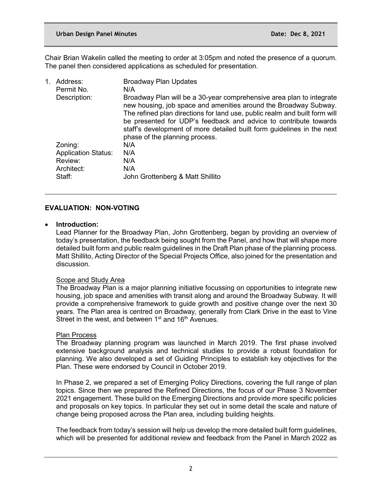Chair Brian Wakelin called the meeting to order at 3:05pm and noted the presence of a quorum. The panel then considered applications as scheduled for presentation.

| 1. | Address:<br>Permit No.<br>Description:                                   | <b>Broadway Plan Updates</b><br>N/A<br>Broadway Plan will be a 30-year comprehensive area plan to integrate<br>new housing, job space and amenities around the Broadway Subway.<br>The refined plan directions for land use, public realm and built form will<br>be presented for UDP's feedback and advice to contribute towards<br>staff's development of more detailed built form guidelines in the next |
|----|--------------------------------------------------------------------------|-------------------------------------------------------------------------------------------------------------------------------------------------------------------------------------------------------------------------------------------------------------------------------------------------------------------------------------------------------------------------------------------------------------|
|    | Zoning:<br><b>Application Status:</b><br>Review:<br>Architect:<br>Staff: | phase of the planning process.<br>N/A<br>N/A<br>N/A<br>N/A<br>John Grottenberg & Matt Shillito                                                                                                                                                                                                                                                                                                              |

## **EVALUATION: NON-VOTING**

### • **Introduction:**

Lead Planner for the Broadway Plan, John Grottenberg, began by providing an overview of today's presentation, the feedback being sought from the Panel, and how that will shape more detailed built form and public realm guidelines in the Draft Plan phase of the planning process. Matt Shillito, Acting Director of the Special Projects Office, also joined for the presentation and discussion.

# Scope and Study Area

The Broadway Plan is a major planning initiative focussing on opportunities to integrate new housing, job space and amenities with transit along and around the Broadway Subway. It will provide a comprehensive framework to guide growth and positive change over the next 30 years. The Plan area is centred on Broadway, generally from Clark Drive in the east to Vine Street in the west, and between  $1<sup>st</sup>$  and  $16<sup>th</sup>$  Avenues.

### Plan Process

The Broadway planning program was launched in March 2019. The first phase involved extensive background analysis and technical studies to provide a robust foundation for planning. We also developed a set of Guiding Principles to establish key objectives for the Plan. These were endorsed by Council in October 2019.

In Phase 2, we prepared a set of Emerging Policy Directions, covering the full range of plan topics. Since then we prepared the Refined Directions, the focus of our Phase 3 November 2021 engagement. These build on the Emerging Directions and provide more specific policies and proposals on key topics. In particular they set out in some detail the scale and nature of change being proposed across the Plan area, including building heights.

The feedback from today's session will help us develop the more detailed built form guidelines, which will be presented for additional review and feedback from the Panel in March 2022 as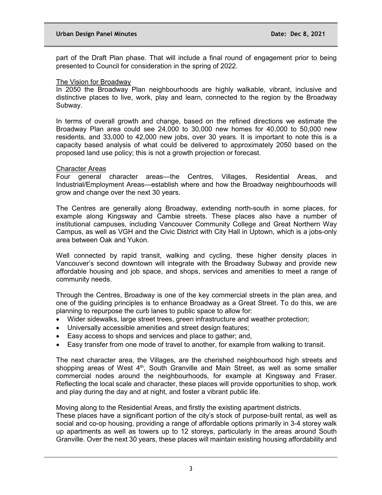part of the Draft Plan phase. That will include a final round of engagement prior to being presented to Council for consideration in the spring of 2022.

#### The Vision for Broadway

In 2050 the Broadway Plan neighbourhoods are highly walkable, vibrant, inclusive and distinctive places to live, work, play and learn, connected to the region by the Broadway Subway.

In terms of overall growth and change, based on the refined directions we estimate the Broadway Plan area could see 24,000 to 30,000 new homes for 40,000 to 50,000 new residents, and 33,000 to 42,000 new jobs, over 30 years. It is important to note this is a capacity based analysis of what could be delivered to approximately 2050 based on the proposed land use policy; this is not a growth projection or forecast.

### Character Areas

Four general character areas—the Centres, Villages, Residential Areas, and Industrial/Employment Areas—establish where and how the Broadway neighbourhoods will grow and change over the next 30 years.

The Centres are generally along Broadway, extending north-south in some places, for example along Kingsway and Cambie streets. These places also have a number of institutional campuses, including Vancouver Community College and Great Northern Way Campus, as well as VGH and the Civic District with City Hall in Uptown, which is a jobs-only area between Oak and Yukon.

Well connected by rapid transit, walking and cycling, these higher density places in Vancouver's second downtown will integrate with the Broadway Subway and provide new affordable housing and job space, and shops, services and amenities to meet a range of community needs.

Through the Centres, Broadway is one of the key commercial streets in the plan area, and one of the guiding principles is to enhance Broadway as a Great Street. To do this, we are planning to repurpose the curb lanes to public space to allow for:

- Wider sidewalks, large street trees, green infrastructure and weather protection;
- Universally accessible amenities and street design features;
- Easy access to shops and services and place to gather; and,
- Easy transfer from one mode of travel to another, for example from walking to transit.

The next character area, the Villages, are the cherished neighbourhood high streets and shopping areas of West  $4<sup>th</sup>$ , South Granville and Main Street, as well as some smaller commercial nodes around the neighbourhoods, for example at Kingsway and Fraser. Reflecting the local scale and character, these places will provide opportunities to shop, work and play during the day and at night, and foster a vibrant public life.

Moving along to the Residential Areas, and firstly the existing apartment districts.

These places have a significant portion of the city's stock of purpose-built rental, as well as social and co-op housing, providing a range of affordable options primarily in 3-4 storey walk up apartments as well as towers up to 12 storeys, particularly in the areas around South Granville. Over the next 30 years, these places will maintain existing housing affordability and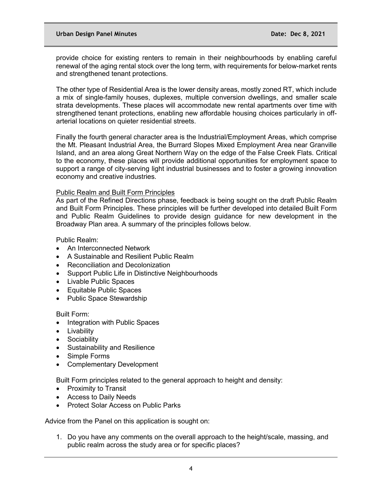provide choice for existing renters to remain in their neighbourhoods by enabling careful renewal of the aging rental stock over the long term, with requirements for below-market rents and strengthened tenant protections.

The other type of Residential Area is the lower density areas, mostly zoned RT, which include a mix of single-family houses, duplexes, multiple conversion dwellings, and smaller scale strata developments. These places will accommodate new rental apartments over time with strengthened tenant protections, enabling new affordable housing choices particularly in offarterial locations on quieter residential streets.

Finally the fourth general character area is the Industrial/Employment Areas, which comprise the Mt. Pleasant Industrial Area, the Burrard Slopes Mixed Employment Area near Granville Island, and an area along Great Northern Way on the edge of the False Creek Flats. Critical to the economy, these places will provide additional opportunities for employment space to support a range of city-serving light industrial businesses and to foster a growing innovation economy and creative industries.

### Public Realm and Built Form Principles

As part of the Refined Directions phase, feedback is being sought on the draft Public Realm and Built Form Principles. These principles will be further developed into detailed Built Form and Public Realm Guidelines to provide design guidance for new development in the Broadway Plan area. A summary of the principles follows below.

Public Realm:

- An Interconnected Network
- A Sustainable and Resilient Public Realm
- Reconciliation and Decolonization
- Support Public Life in Distinctive Neighbourhoods
- Livable Public Spaces
- Equitable Public Spaces
- Public Space Stewardship

Built Form:

- Integration with Public Spaces
- Livability
- Sociability
- Sustainability and Resilience
- Simple Forms
- Complementary Development

Built Form principles related to the general approach to height and density:

- Proximity to Transit
- Access to Daily Needs
- Protect Solar Access on Public Parks

Advice from the Panel on this application is sought on:

1. Do you have any comments on the overall approach to the height/scale, massing, and public realm across the study area or for specific places?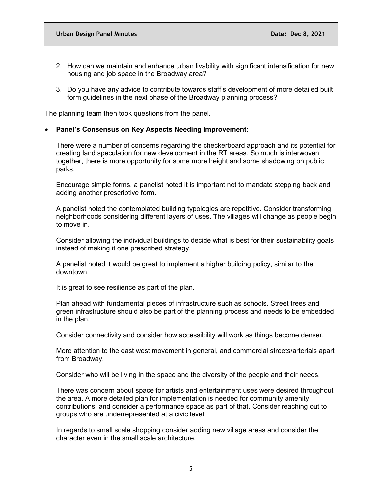- 2. How can we maintain and enhance urban livability with significant intensification for new housing and job space in the Broadway area?
- 3. Do you have any advice to contribute towards staff's development of more detailed built form guidelines in the next phase of the Broadway planning process?

The planning team then took questions from the panel.

### • **Panel's Consensus on Key Aspects Needing Improvement:**

There were a number of concerns regarding the checkerboard approach and its potential for creating land speculation for new development in the RT areas. So much is interwoven together, there is more opportunity for some more height and some shadowing on public parks.

Encourage simple forms, a panelist noted it is important not to mandate stepping back and adding another prescriptive form.

A panelist noted the contemplated building typologies are repetitive. Consider transforming neighborhoods considering different layers of uses. The villages will change as people begin to move in.

Consider allowing the individual buildings to decide what is best for their sustainability goals instead of making it one prescribed strategy.

A panelist noted it would be great to implement a higher building policy, similar to the downtown.

It is great to see resilience as part of the plan.

Plan ahead with fundamental pieces of infrastructure such as schools. Street trees and green infrastructure should also be part of the planning process and needs to be embedded in the plan.

Consider connectivity and consider how accessibility will work as things become denser.

More attention to the east west movement in general, and commercial streets/arterials apart from Broadway.

Consider who will be living in the space and the diversity of the people and their needs.

There was concern about space for artists and entertainment uses were desired throughout the area. A more detailed plan for implementation is needed for community amenity contributions, and consider a performance space as part of that. Consider reaching out to groups who are underrepresented at a civic level.

In regards to small scale shopping consider adding new village areas and consider the character even in the small scale architecture.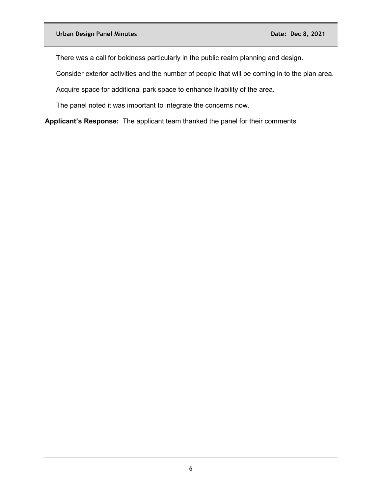There was a call for boldness particularly in the public realm planning and design.

Consider exterior activities and the number of people that will be coming in to the plan area.

Acquire space for additional park space to enhance livability of the area.

The panel noted it was important to integrate the concerns now.

**Applicant's Response:** The applicant team thanked the panel for their comments.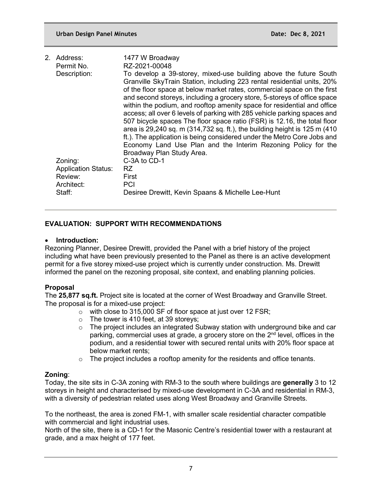| 2. Address:                | 1477 W Broadway                                                                                                                                                                                                                                                                                                                                                                                                                                                                                                                                                                                                                                                                                                                                                                               |
|----------------------------|-----------------------------------------------------------------------------------------------------------------------------------------------------------------------------------------------------------------------------------------------------------------------------------------------------------------------------------------------------------------------------------------------------------------------------------------------------------------------------------------------------------------------------------------------------------------------------------------------------------------------------------------------------------------------------------------------------------------------------------------------------------------------------------------------|
| Permit No.                 | RZ-2021-00048                                                                                                                                                                                                                                                                                                                                                                                                                                                                                                                                                                                                                                                                                                                                                                                 |
| Description:               | To develop a 39-storey, mixed-use building above the future South<br>Granville SkyTrain Station, including 223 rental residential units, 20%<br>of the floor space at below market rates, commercial space on the first<br>and second storeys, including a grocery store, 5-storeys of office space<br>within the podium, and rooftop amenity space for residential and office<br>access; all over 6 levels of parking with 285 vehicle parking spaces and<br>507 bicycle spaces The floor space ratio (FSR) is 12.16, the total floor<br>area is 29,240 sq. m (314,732 sq. ft.), the building height is 125 m (410)<br>ft.). The application is being considered under the Metro Core Jobs and<br>Economy Land Use Plan and the Interim Rezoning Policy for the<br>Broadway Plan Study Area. |
| Zoning:                    | C-3A to CD-1                                                                                                                                                                                                                                                                                                                                                                                                                                                                                                                                                                                                                                                                                                                                                                                  |
| <b>Application Status:</b> | RZ.                                                                                                                                                                                                                                                                                                                                                                                                                                                                                                                                                                                                                                                                                                                                                                                           |
| Review:                    | First                                                                                                                                                                                                                                                                                                                                                                                                                                                                                                                                                                                                                                                                                                                                                                                         |
| Architect:                 | <b>PCI</b>                                                                                                                                                                                                                                                                                                                                                                                                                                                                                                                                                                                                                                                                                                                                                                                    |
| Staff:                     | Desiree Drewitt, Kevin Spaans & Michelle Lee-Hunt                                                                                                                                                                                                                                                                                                                                                                                                                                                                                                                                                                                                                                                                                                                                             |
|                            |                                                                                                                                                                                                                                                                                                                                                                                                                                                                                                                                                                                                                                                                                                                                                                                               |

## **EVALUATION: SUPPORT WITH RECOMMENDATIONS**

### • **Introduction:**

Rezoning Planner, Desiree Drewitt, provided the Panel with a brief history of the project including what have been previously presented to the Panel as there is an active development permit for a five storey mixed-use project which is currently under construction. Ms. Drewitt informed the panel on the rezoning proposal, site context, and enabling planning policies.

### **Proposal**

The **25,877 sq.ft.** Project site is located at the corner of West Broadway and Granville Street. The proposal is for a mixed-use project:

- o with close to 315,000 SF of floor space at just over 12 FSR;
- $\circ$  The tower is 410 feet, at 39 storeys;<br> $\circ$  The project includes an integrated S
- The project includes an integrated Subway station with underground bike and car parking, commercial uses at grade, a grocery store on the 2nd level, offices in the podium, and a residential tower with secured rental units with 20% floor space at below market rents;
- $\circ$  The project includes a rooftop amenity for the residents and office tenants.

### **Zoning**:

Today, the site sits in C-3A zoning with RM-3 to the south where buildings are **generally** 3 to 12 storeys in height and characterised by mixed-use development in C-3A and residential in RM-3, with a diversity of pedestrian related uses along West Broadway and Granville Streets.

To the northeast, the area is zoned FM-1, with smaller scale residential character compatible with commercial and light industrial uses.

North of the site, there is a CD-1 for the Masonic Centre's residential tower with a restaurant at grade, and a max height of 177 feet.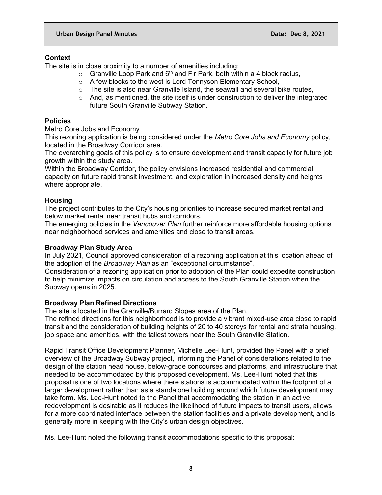## **Context**

The site is in close proximity to a number of amenities including:

- $\circ$  Granville Loop Park and 6<sup>th</sup> and Fir Park, both within a 4 block radius,
- o A few blocks to the west is Lord Tennyson Elementary School,
- $\circ$  The site is also near Granville Island, the seawall and several bike routes,
- $\circ$  And, as mentioned, the site itself is under construction to deliver the integrated future South Granville Subway Station.

## **Policies**

Metro Core Jobs and Economy

This rezoning application is being considered under the *Metro Core Jobs and Economy* policy, located in the Broadway Corridor area.

The overarching goals of this policy is to ensure development and transit capacity for future job growth within the study area.

Within the Broadway Corridor, the policy envisions increased residential and commercial capacity on future rapid transit investment, and exploration in increased density and heights where appropriate.

## **Housing**

The project contributes to the City's housing priorities to increase secured market rental and below market rental near transit hubs and corridors.

The emerging policies in the *Vancouver Plan* further reinforce more affordable housing options near neighborhood services and amenities and close to transit areas.

## **Broadway Plan Study Area**

In July 2021, Council approved consideration of a rezoning application at this location ahead of the adoption of the *Broadway Plan* as an "exceptional circumstance".

Consideration of a rezoning application prior to adoption of the Plan could expedite construction to help minimize impacts on circulation and access to the South Granville Station when the Subway opens in 2025.

# **Broadway Plan Refined Directions**

The site is located in the Granville/Burrard Slopes area of the Plan.

The refined directions for this neighborhood is to provide a vibrant mixed-use area close to rapid transit and the consideration of building heights of 20 to 40 storeys for rental and strata housing, job space and amenities, with the tallest towers near the South Granville Station.

Rapid Transit Office Development Planner, Michelle Lee-Hunt, provided the Panel with a brief overview of the Broadway Subway project, informing the Panel of considerations related to the design of the station head house, below-grade concourses and platforms, and infrastructure that needed to be accommodated by this proposed development. Ms. Lee-Hunt noted that this proposal is one of two locations where there stations is accommodated within the footprint of a larger development rather than as a standalone building around which future development may take form. Ms. Lee-Hunt noted to the Panel that accommodating the station in an active redevelopment is desirable as it reduces the likelihood of future impacts to transit users, allows for a more coordinated interface between the station facilities and a private development, and is generally more in keeping with the City's urban design objectives.

Ms. Lee-Hunt noted the following transit accommodations specific to this proposal: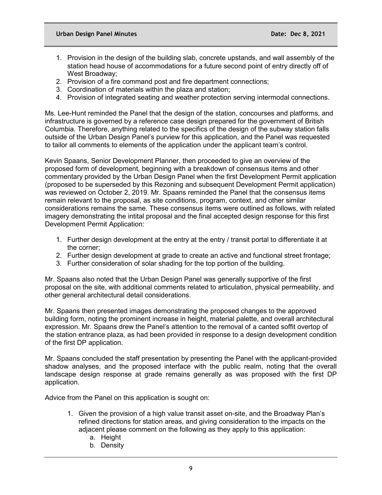- 1. Provision in the design of the building slab, concrete upstands, and wall assembly of the station head house of accommodations for a future second point of entry directly off of West Broadway;
- 2. Provision of a fire command post and fire department connections;
- 3. Coordination of materials within the plaza and station;
- 4. Provision of integrated seating and weather protection serving intermodal connections.

Ms. Lee-Hunt reminded the Panel that the design of the station, concourses and platforms, and infrastructure is governed by a reference case design prepared for the government of British Columbia. Therefore, anything related to the specifics of the design of the subway station falls outside of the Urban Design Panel's purview for this application, and the Panel was requested to tailor all comments to elements of the application under the applicant team's control.

Kevin Spaans, Senior Development Planner, then proceeded to give an overview of the proposed form of development, beginning with a breakdown of consensus items and other commentary provided by the Urban Design Panel when the first Development Permit application (proposed to be superseded by this Rezoning and subsequent Development Permit application) was reviewed on October 2, 2019. Mr. Spaans reminded the Panel that the consensus items remain relevant to the proposal, as site conditions, program, context, and other similar considerations remains the same. These consensus items were outlined as follows, with related imagery demonstrating the intital proposal and the final accepted design response for this first Development Permit Application:

- 1. Further design development at the entry at the entry / transit portal to differentiate it at the corner;
- 2. Further design development at grade to create an active and functional street frontage;
- 3. Further consideration of solar shading for the top portion of the building.

Mr. Spaans also noted that the Urban Design Panel was generally supportive of the first proposal on the site, with additional comments related to articulation, physical permeability, and other general architectural detail considerations.

Mr. Spaans then presented images demonstrating the proposed changes to the approved building form, noting the prominent increase in height, material palette, and overall architectural expression. Mr. Spaans drew the Panel's attention to the removal of a canted soffit overtop of the station entrance plaza, as had been provided in response to a design development condition of the first DP application.

Mr. Spaans concluded the staff presentation by presenting the Panel with the applicant-provided shadow analyses, and the proposed interface with the public realm, noting that the overall landscape design response at grade remains generally as was proposed with the first DP application.

Advice from the Panel on this application is sought on:

- 1. Given the provision of a high value transit asset on-site, and the Broadway Plan's refined directions for station areas, and giving consideration to the impacts on the adjacent please comment on the following as they apply to this application:
	- a. Height
	- b. Density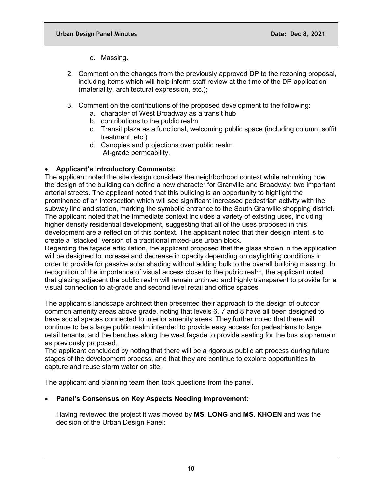c. Massing.

- 2. Comment on the changes from the previously approved DP to the rezoning proposal, including items which will help inform staff review at the time of the DP application (materiality, architectural expression, etc.);
- 3. Comment on the contributions of the proposed development to the following:
	- a. character of West Broadway as a transit hub
	- b. contributions to the public realm
	- c. Transit plaza as a functional, welcoming public space (including column, soffit treatment, etc.)
	- d. Canopies and projections over public realm At-grade permeability.

# • **Applicant's Introductory Comments:**

The applicant noted the site design considers the neighborhood context while rethinking how the design of the building can define a new character for Granville and Broadway: two important arterial streets. The applicant noted that this building is an opportunity to highlight the prominence of an intersection which will see significant increased pedestrian activity with the subway line and station, marking the symbolic entrance to the South Granville shopping district. The applicant noted that the immediate context includes a variety of existing uses, including higher density residential development, suggesting that all of the uses proposed in this development are a reflection of this context. The applicant noted that their design intent is to create a "stacked" version of a traditional mixed-use urban block.

Regarding the façade articulation, the applicant proposed that the glass shown in the application will be designed to increase and decrease in opacity depending on daylighting conditions in order to provide for passive solar shading without adding bulk to the overall building massing. In recognition of the importance of visual access closer to the public realm, the applicant noted that glazing adjacent the public realm will remain untinted and highly transparent to provide for a visual connection to at-grade and second level retail and office spaces.

The applicant's landscape architect then presented their approach to the design of outdoor common amenity areas above grade, noting that levels 6, 7 and 8 have all been designed to have social spaces connected to interior amenity areas. They further noted that there will continue to be a large public realm intended to provide easy access for pedestrians to large retail tenants, and the benches along the west façade to provide seating for the bus stop remain as previously proposed.

The applicant concluded by noting that there will be a rigorous public art process during future stages of the development process, and that they are continue to explore opportunities to capture and reuse storm water on site.

The applicant and planning team then took questions from the panel.

## • **Panel's Consensus on Key Aspects Needing Improvement:**

Having reviewed the project it was moved by **MS. LONG** and **MS. KHOEN** and was the decision of the Urban Design Panel: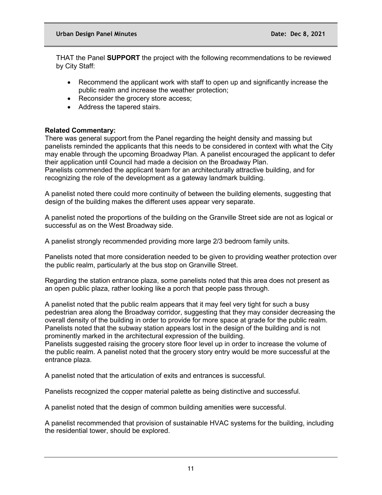THAT the Panel **SUPPORT** the project with the following recommendations to be reviewed by City Staff:

- Recommend the applicant work with staff to open up and significantly increase the public realm and increase the weather protection;
- Reconsider the grocery store access;
- Address the tapered stairs.

## **Related Commentary:**

There was general support from the Panel regarding the height density and massing but panelists reminded the applicants that this needs to be considered in context with what the City may enable through the upcoming Broadway Plan. A panelist encouraged the applicant to defer their application until Council had made a decision on the Broadway Plan.

Panelists commended the applicant team for an architecturally attractive building, and for recognizing the role of the development as a gateway landmark building.

A panelist noted there could more continuity of between the building elements, suggesting that design of the building makes the different uses appear very separate.

A panelist noted the proportions of the building on the Granville Street side are not as logical or successful as on the West Broadway side.

A panelist strongly recommended providing more large 2/3 bedroom family units.

Panelists noted that more consideration needed to be given to providing weather protection over the public realm, particularly at the bus stop on Granville Street.

Regarding the station entrance plaza, some panelists noted that this area does not present as an open public plaza, rather looking like a porch that people pass through.

A panelist noted that the public realm appears that it may feel very tight for such a busy pedestrian area along the Broadway corridor, suggesting that they may consider decreasing the overall density of the building in order to provide for more space at grade for the public realm. Panelists noted that the subway station appears lost in the design of the building and is not prominently marked in the architectural expression of the building.

Panelists suggested raising the grocery store floor level up in order to increase the volume of the public realm. A panelist noted that the grocery story entry would be more successful at the entrance plaza.

A panelist noted that the articulation of exits and entrances is successful.

Panelists recognized the copper material palette as being distinctive and successful.

A panelist noted that the design of common building amenities were successful.

A panelist recommended that provision of sustainable HVAC systems for the building, including the residential tower, should be explored.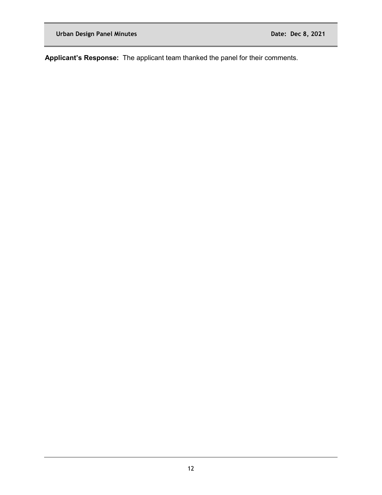**Applicant's Response:** The applicant team thanked the panel for their comments.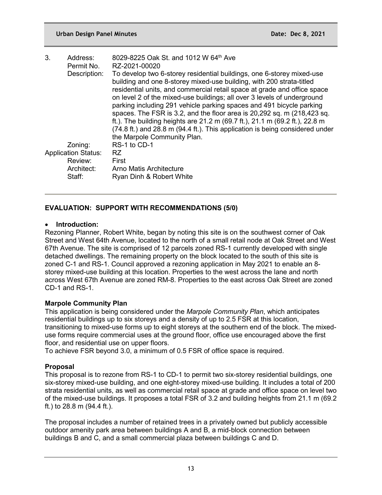| 3.                         | Address:     | 8029-8225 Oak St. and 1012 W 64th Ave                                                                                                                                                                                                                                                                                                                                                                                                                                                                                                                                                                                                                 |
|----------------------------|--------------|-------------------------------------------------------------------------------------------------------------------------------------------------------------------------------------------------------------------------------------------------------------------------------------------------------------------------------------------------------------------------------------------------------------------------------------------------------------------------------------------------------------------------------------------------------------------------------------------------------------------------------------------------------|
|                            | Permit No.   | RZ-2021-00020                                                                                                                                                                                                                                                                                                                                                                                                                                                                                                                                                                                                                                         |
|                            | Description: | To develop two 6-storey residential buildings, one 6-storey mixed-use<br>building and one 8-storey mixed-use building, with 200 strata-titled<br>residential units, and commercial retail space at grade and office space<br>on level 2 of the mixed-use buildings; all over 3 levels of underground<br>parking including 291 vehicle parking spaces and 491 bicycle parking<br>spaces. The FSR is 3.2, and the floor area is 20,292 sq. m (218,423 sq.<br>ft.). The building heights are 21.2 m (69.7 ft.), 21.1 m (69.2 ft.), 22.8 m<br>(74.8 ft.) and 28.8 m (94.4 ft.). This application is being considered under<br>the Marpole Community Plan. |
|                            | Zoning:      | RS-1 to CD-1                                                                                                                                                                                                                                                                                                                                                                                                                                                                                                                                                                                                                                          |
| <b>Application Status:</b> |              | RZ.                                                                                                                                                                                                                                                                                                                                                                                                                                                                                                                                                                                                                                                   |
|                            | Review:      | First                                                                                                                                                                                                                                                                                                                                                                                                                                                                                                                                                                                                                                                 |
|                            | Architect:   | Arno Matis Architecture                                                                                                                                                                                                                                                                                                                                                                                                                                                                                                                                                                                                                               |
|                            | Staff:       | Ryan Dinh & Robert White                                                                                                                                                                                                                                                                                                                                                                                                                                                                                                                                                                                                                              |

## **EVALUATION: SUPPORT WITH RECOMMENDATIONS (5/0)**

### • **Introduction:**

Rezoning Planner, Robert White, began by noting this site is on the southwest corner of Oak Street and West 64th Avenue, located to the north of a small retail node at Oak Street and West 67th Avenue. The site is comprised of 12 parcels zoned RS-1 currently developed with single detached dwellings. The remaining property on the block located to the south of this site is zoned C-1 and RS-1. Council approved a rezoning application in May 2021 to enable an 8 storey mixed-use building at this location. Properties to the west across the lane and north across West 67th Avenue are zoned RM-8. Properties to the east across Oak Street are zoned CD-1 and RS-1.

## **Marpole Community Plan**

This application is being considered under the *Marpole Community Plan*, which anticipates residential buildings up to six storeys and a density of up to 2.5 FSR at this location, transitioning to mixed-use forms up to eight storeys at the southern end of the block. The mixeduse forms require commercial uses at the ground floor, office use encouraged above the first floor, and residential use on upper floors.

To achieve FSR beyond 3.0, a minimum of 0.5 FSR of office space is required.

## **Proposal**

This proposal is to rezone from RS-1 to CD-1 to permit two six-storey residential buildings, one six-storey mixed-use building, and one eight-storey mixed-use building. It includes a total of 200 strata residential units, as well as commercial retail space at grade and office space on level two of the mixed-use buildings. It proposes a total FSR of 3.2 and building heights from 21.1 m (69.2 ft.) to 28.8 m (94.4 ft.).

The proposal includes a number of retained trees in a privately owned but publicly accessible outdoor amenity park area between buildings A and B, a mid-block connection between buildings B and C, and a small commercial plaza between buildings C and D.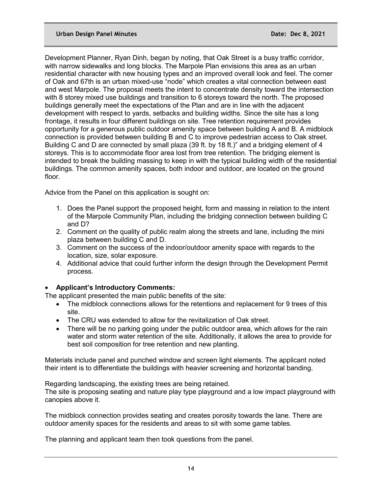#### **Urban Design Panel Minutes Date: Dec 8, 2021**

Development Planner, Ryan Dinh, began by noting, that Oak Street is a busy traffic corridor, with narrow sidewalks and long blocks. The Marpole Plan envisions this area as an urban residential character with new housing types and an improved overall look and feel. The corner of Oak and 67th is an urban mixed-use "node" which creates a vital connection between east and west Marpole. The proposal meets the intent to concentrate density toward the intersection with 8 storey mixed use buildings and transition to 6 storeys toward the north. The proposed buildings generally meet the expectations of the Plan and are in line with the adjacent development with respect to yards, setbacks and building widths. Since the site has a long frontage, it results in four different buildings on site. Tree retention requirement provides opportunity for a generous public outdoor amenity space between building A and B. A midblock connection is provided between building B and C to improve pedestrian access to Oak street. Building C and D are connected by small plaza (39 ft. by 18 ft.)" and a bridging element of 4 storeys. This is to accommodate floor area lost from tree retention. The bridging element is intended to break the building massing to keep in with the typical building width of the residential buildings. The common amenity spaces, both indoor and outdoor, are located on the ground floor.

Advice from the Panel on this application is sought on:

- 1. Does the Panel support the proposed height, form and massing in relation to the intent of the Marpole Community Plan, including the bridging connection between building C and D?
- 2. Comment on the quality of public realm along the streets and lane, including the mini plaza between building C and D.
- 3. Comment on the success of the indoor/outdoor amenity space with regards to the location, size, solar exposure.
- 4. Additional advice that could further inform the design through the Development Permit process.

# • **Applicant's Introductory Comments:**

The applicant presented the main public benefits of the site:

- The midblock connections allows for the retentions and replacement for 9 trees of this site.
- The CRU was extended to allow for the revitalization of Oak street.
- There will be no parking going under the public outdoor area, which allows for the rain water and storm water retention of the site. Additionally, it allows the area to provide for best soil composition for tree retention and new planting.

Materials include panel and punched window and screen light elements. The applicant noted their intent is to differentiate the buildings with heavier screening and horizontal banding.

Regarding landscaping, the existing trees are being retained.

The site is proposing seating and nature play type playground and a low impact playground with canopies above it.

The midblock connection provides seating and creates porosity towards the lane. There are outdoor amenity spaces for the residents and areas to sit with some game tables.

The planning and applicant team then took questions from the panel.